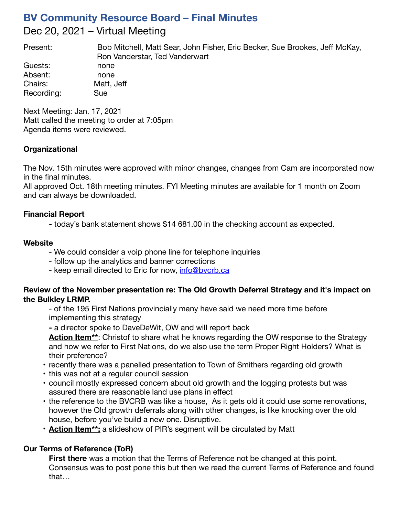# **BV Community Resource Board – Final Minutes** Dec 20, 2021 – Virtual Meeting

Present: Bob Mitchell, Matt Sear, John Fisher, Eric Becker, Sue Brookes, Jeff McKay, Ron Vanderstar, Ted Vanderwart

Guests: none Absent: none Chairs: Matt, Jeff Recording: Sue

Next Meeting: Jan. 17, 2021 Matt called the meeting to order at 7:05pm Agenda items were reviewed.

## **Organizational**

The Nov. 15th minutes were approved with minor changes, changes from Cam are incorporated now in the final minutes.

All approved Oct. 18th meeting minutes. FYI Meeting minutes are available for 1 month on Zoom and can always be downloaded.

## **Financial Report**

**-** today's bank statement shows \$14 681.00 in the checking account as expected.

## **Website**

- We could consider a voip phone line for telephone inquiries
- follow up the analytics and banner corrections
- keep email directed to Eric for now, [info@bvcrb.ca](mailto:info@bvcrb.ca)

#### **Review of the November presentation re: The Old Growth Deferral Strategy and it's impact on the Bulkley LRMP.**

- of the 195 First Nations provincially many have said we need more time before implementing this strategy

**-** a director spoke to DaveDeWit, OW and will report back

**Action Item\*\***: Christof to share what he knows regarding the OW response to the Strategy and how we refer to First Nations, do we also use the term Proper Right Holders? What is their preference?

- recently there was a panelled presentation to Town of Smithers regarding old growth
- this was not at a regular council session
- council mostly expressed concern about old growth and the logging protests but was assured there are reasonable land use plans in effect
- the reference to the BVCRB was like a house, As it gets old it could use some renovations, however the Old growth deferrals along with other changes, is like knocking over the old house, before you've build a new one. Disruptive.
- **Action Item\*\*:** a slideshow of PIR's segment will be circulated by Matt

# **Our Terms of Reference (ToR)**

**First there** was a motion that the Terms of Reference not be changed at this point. Consensus was to post pone this but then we read the current Terms of Reference and found that…